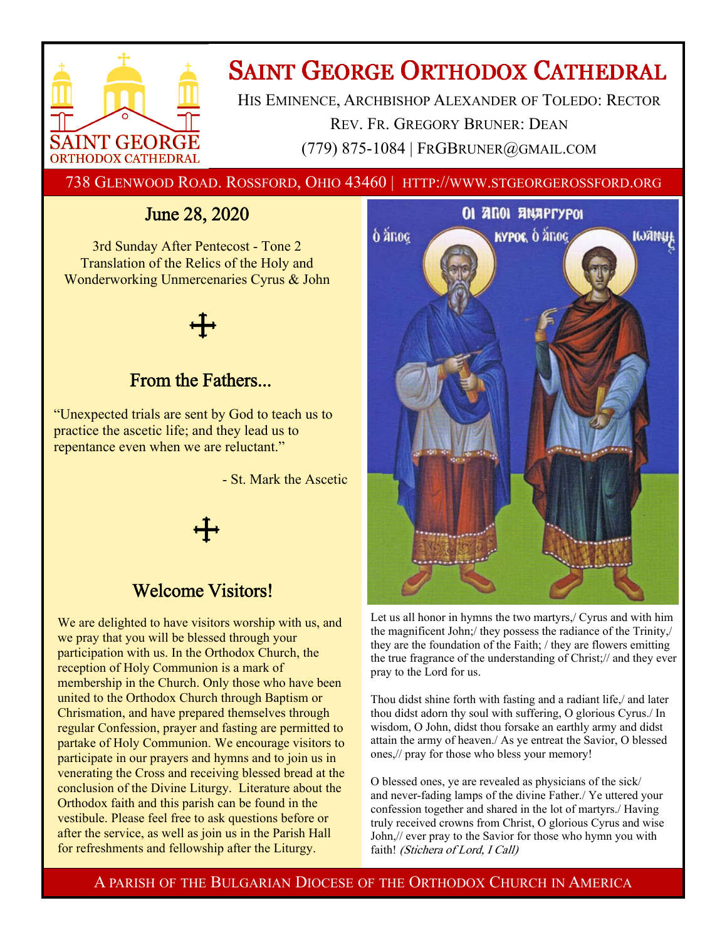

# **SAINT GEORGE ORTHODOX CATHEDRAL**

HIS EMINENCE, ARCHBISHOP ALEXANDER OF TOLEDO: RECTOR REV. FR. GREGORY BRUNER: DEAN (779) 875-1084 | FRGBRUNER@GMAIL.COM

738 GLENWOOD ROAD. ROSSFORD, OHIO 43460 | HTTP://WWW.STGEORGEROSSFORD.ORG

## June 28, 2020

3rd Sunday After Pentecost - Tone 2 Translation of the Relics of the Holy and Wonderworking Unmercenaries Cyrus & John

### From the Fathers...

"Unexpected trials are sent by God to teach us to practice the ascetic life; and they lead us to repentance even when we are reluctant."

- St. Mark the Ascetic



### Welcome Visitors!

We are delighted to have visitors worship with us, and we pray that you will be blessed through your participation with us. In the Orthodox Church, the reception of Holy Communion is a mark of membership in the Church. Only those who have been united to the Orthodox Church through Baptism or Chrismation, and have prepared themselves through regular Confession, prayer and fasting are permitted to partake of Holy Communion. We encourage visitors to participate in our prayers and hymns and to join us in venerating the Cross and receiving blessed bread at the conclusion of the Divine Liturgy. Literature about the Orthodox faith and this parish can be found in the vestibule. Please feel free to ask questions before or after the service, as well as join us in the Parish Hall for refreshments and fellowship after the Liturgy.



Let us all honor in hymns the two martyrs,/ Cyrus and with him the magnificent John;/ they possess the radiance of the Trinity,/ they are the foundation of the Faith; / they are flowers emitting the true fragrance of the understanding of Christ;// and they ever pray to the Lord for us.

Thou didst shine forth with fasting and a radiant life,/ and later thou didst adorn thy soul with suffering, O glorious Cyrus./ In wisdom, O John, didst thou forsake an earthly army and didst attain the army of heaven./ As ye entreat the Savior, O blessed ones,// pray for those who bless your memory!

O blessed ones, ye are revealed as physicians of the sick/ and never-fading lamps of the divine Father./ Ye uttered your confession together and shared in the lot of martyrs./ Having truly received crowns from Christ, O glorious Cyrus and wise John,// ever pray to the Savior for those who hymn you with faith! (Stichera of Lord, I Call)

A PARISH OF THE BULGARIAN DIOCESE OF THE ORTHODOX CHURCH IN AMERICA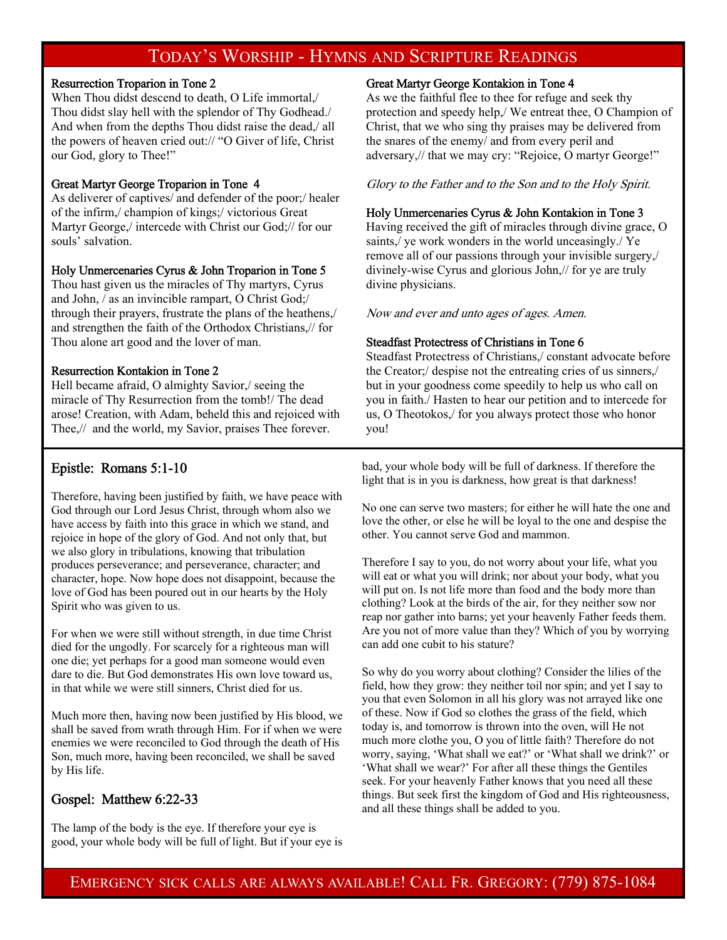### TODAY'S WORSHIP - HYMNS AND SCRIPTURE READINGS

#### Resurrection Troparion in Tone 2

When Thou didst descend to death, O Life immortal,/ Thou didst slay hell with the splendor of Thy Godhead./ And when from the depths Thou didst raise the dead,/ all the powers of heaven cried out:// "O Giver of life, Christ our God, glory to Thee!"

#### Great Martyr George Troparion in Tone 4

As deliverer of captives/ and defender of the poor;/ healer of the infirm,/ champion of kings;/ victorious Great Martyr George,/ intercede with Christ our God;// for our souls' salvation.

#### Holy Unmercenaries Cyrus & John Troparion in Tone 5

Thou hast given us the miracles of Thy martyrs, Cyrus and John, / as an invincible rampart, O Christ God;/ through their prayers, frustrate the plans of the heathens,/ and strengthen the faith of the Orthodox Christians,// for Thou alone art good and the lover of man.

#### Resurrection Kontakion in Tone 2

Hell became afraid, O almighty Savior,/ seeing the miracle of Thy Resurrection from the tomb!/ The dead arose! Creation, with Adam, beheld this and rejoiced with Thee,// and the world, my Savior, praises Thee forever.

#### Epistle: Romans 5:1-10

Therefore, having been justified by faith, we have peace with God through our Lord Jesus Christ, through whom also we have access by faith into this grace in which we stand, and rejoice in hope of the glory of God. And not only that, but we also glory in tribulations, knowing that tribulation produces perseverance; and perseverance, character; and character, hope. Now hope does not disappoint, because the love of God has been poured out in our hearts by the Holy Spirit who was given to us.

For when we were still without strength, in due time Christ died for the ungodly. For scarcely for a righteous man will one die; yet perhaps for a good man someone would even dare to die. But God demonstrates His own love toward us, in that while we were still sinners, Christ died for us.

Much more then, having now been justified by His blood, we shall be saved from wrath through Him. For if when we were enemies we were reconciled to God through the death of His Son, much more, having been reconciled, we shall be saved by His life.

#### Gospel: Matthew 6:22-33

The lamp of the body is the eye. If therefore your eye is good, your whole body will be full of light. But if your eye is

#### Great Martyr George Kontakion in Tone 4

As we the faithful flee to thee for refuge and seek thy protection and speedy help,/ We entreat thee, O Champion of Christ, that we who sing thy praises may be delivered from the snares of the enemy/ and from every peril and adversary,// that we may cry: "Rejoice, O martyr George!"

Glory to the Father and to the Son and to the Holy Spirit.

#### Holy Unmercenaries Cyrus & John Kontakion in Tone 3

Having received the gift of miracles through divine grace, O saints,/ ye work wonders in the world unceasingly./ Ye remove all of our passions through your invisible surgery,/ divinely-wise Cyrus and glorious John,// for ye are truly divine physicians.

Now and ever and unto ages of ages. Amen.

#### Steadfast Protectress of Christians in Tone 6

Steadfast Protectress of Christians,/ constant advocate before the Creator;/ despise not the entreating cries of us sinners,/ but in your goodness come speedily to help us who call on you in faith./ Hasten to hear our petition and to intercede for us, O Theotokos,/ for you always protect those who honor you!

bad, your whole body will be full of darkness. If therefore the light that is in you is darkness, how great is that darkness!

No one can serve two masters; for either he will hate the one and love the other, or else he will be loyal to the one and despise the other. You cannot serve God and mammon.

Therefore I say to you, do not worry about your life, what you will eat or what you will drink; nor about your body, what you will put on. Is not life more than food and the body more than clothing? Look at the birds of the air, for they neither sow nor reap nor gather into barns; yet your heavenly Father feeds them. Are you not of more value than they? Which of you by worrying can add one cubit to his stature?

So why do you worry about clothing? Consider the lilies of the field, how they grow: they neither toil nor spin; and yet I say to you that even Solomon in all his glory was not arrayed like one of these. Now if God so clothes the grass of the field, which today is, and tomorrow is thrown into the oven, will He not much more clothe you, O you of little faith? Therefore do not worry, saying, 'What shall we eat?' or 'What shall we drink?' or 'What shall we wear?' For after all these things the Gentiles seek. For your heavenly Father knows that you need all these things. But seek first the kingdom of God and His righteousness, and all these things shall be added to you.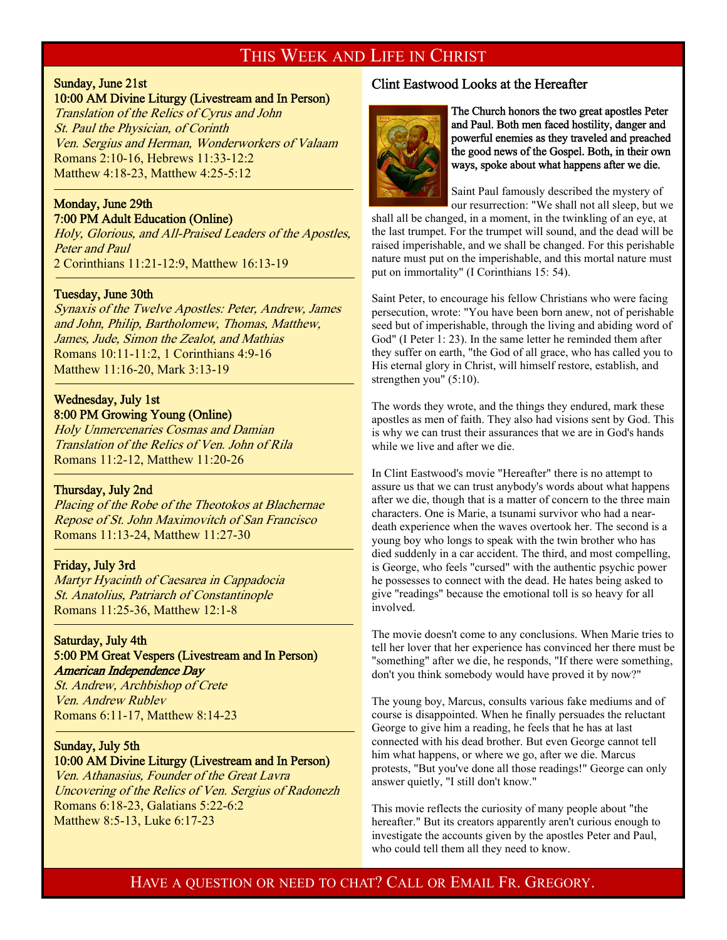### THIS WEEK AND LIFE IN CHRIST

### Sunday, June 21st

#### 10:00 AM Divine Liturgy (Livestream and In Person)

Translation of the Relics of Cyrus and John St. Paul the Physician, of Corinth Ven. Sergius and Herman, Wonderworkers of Valaam Romans 2:10-16, Hebrews 11:33-12:2 Matthew 4:18-23, Matthew 4:25-5:12 -

#### Monday, June 29th 7:00 PM Adult Education (Online)

Holy, Glorious, and All-Praised Leaders of the Apostles, Peter and Paul 2 Corinthians 11:21-12:9, Matthew 16:13-19

#### Tuesday, June 30th

Synaxis of the Twelve Apostles: Peter, Andrew, James and John, Philip, Bartholomew, Thomas, Matthew, James, Jude, Simon the Zealot, and Mathias Romans 10:11-11:2, 1 Corinthians 4:9-16 Matthew 11:16-20, Mark 3:13-19

#### Wednesday, July 1st 8:00 PM Growing Young (Online)

Holy Unmercenaries Cosmas and Damian Translation of the Relics of Ven. John of Rila Romans 11:2-12, Matthew 11:20-26

#### Thursday, July 2nd

-

<sup>-</sup>

Placing of the Robe of the Theotokos at Blachernae Repose of St. John Maximovitch of San Francisco Romans 11:13-24, Matthew 11:27-30

#### Friday, July 3rd

Martyr Hyacinth of Caesarea in Cappadocia St. Anatolius, Patriarch of Constantinople Romans 11:25-36, Matthew 12:1-8

#### Saturday, July 4th 5:00 PM Great Vespers (Livestream and In Person) American Independence Day

St. Andrew, Archbishop of Crete Ven. Andrew Rublev Romans 6:11-17, Matthew 8:14-23

## Sunday, July 5th

10:00 AM Divine Liturgy (Livestream and In Person) Ven. Athanasius, Founder of the Great Lavra Uncovering of the Relics of Ven. Sergius of Radonezh Romans 6:18-23, Galatians 5:22-6:2 Matthew 8:5-13, Luke 6:17-23

#### Clint Eastwood Looks at the Hereafter



The Church honors the two great apostles Peter and Paul. Both men faced hostility, danger and powerful enemies as they traveled and preached the good news of the Gospel. Both, in their own ways, spoke about what happens after we die.

Saint Paul famously described the mystery of our resurrection: "We shall not all sleep, but we

shall all be changed, in a moment, in the twinkling of an eye, at the last trumpet. For the trumpet will sound, and the dead will be raised imperishable, and we shall be changed. For this perishable nature must put on the imperishable, and this mortal nature must put on immortality" (I Corinthians 15: 54).

Saint Peter, to encourage his fellow Christians who were facing persecution, wrote: "You have been born anew, not of perishable seed but of imperishable, through the living and abiding word of God" (I Peter 1: 23). In the same letter he reminded them after they suffer on earth, "the God of all grace, who has called you to His eternal glory in Christ, will himself restore, establish, and strengthen you" (5:10).

The words they wrote, and the things they endured, mark these apostles as men of faith. They also had visions sent by God. This is why we can trust their assurances that we are in God's hands while we live and after we die.

In Clint Eastwood's movie "Hereafter" there is no attempt to assure us that we can trust anybody's words about what happens after we die, though that is a matter of concern to the three main characters. One is Marie, a tsunami survivor who had a neardeath experience when the waves overtook her. The second is a young boy who longs to speak with the twin brother who has died suddenly in a car accident. The third, and most compelling, is George, who feels "cursed" with the authentic psychic power he possesses to connect with the dead. He hates being asked to give "readings" because the emotional toll is so heavy for all involved.

The movie doesn't come to any conclusions. When Marie tries to tell her lover that her experience has convinced her there must be "something" after we die, he responds, "If there were something, don't you think somebody would have proved it by now?"

The young boy, Marcus, consults various fake mediums and of course is disappointed. When he finally persuades the reluctant George to give him a reading, he feels that he has at last connected with his dead brother. But even George cannot tell him what happens, or where we go, after we die. Marcus protests, "But you've done all those readings!" George can only answer quietly, "I still don't know."

This movie reflects the curiosity of many people about "the hereafter." But its creators apparently aren't curious enough to investigate the accounts given by the apostles Peter and Paul, who could tell them all they need to know.

HAVE A QUESTION OR NEED TO CHAT? CALL OR EMAIL FR. GREGORY.